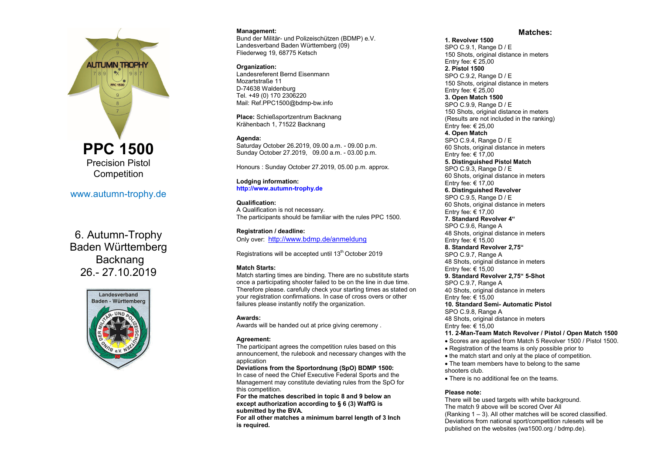

# www.autumn-trophy.de

6. Autumn-Trophy Baden Württemberg Backnang 26.- 27.10.2019



**Management:**  Bund der Militär- und Polizeischützen (BDMP) e.V. Landesverband Baden Württemberg (09) Fliederweg 19, 68775 Ketsch

**Organization:**  Landesreferent Bernd Eisenmann Mozartstraße 11 D-74638 Waldenburg Tel. +49 (0) 170 2306220 Mail: Ref.PPC1500@bdmp-bw.info

**Place:** Schießsportzentrum Backnang Krähenbach 1, 71522 Backnang

**Agenda:**  Saturday October 26.2019, 09.00 a.m. - 09.00 p.m. Sunday October 27.2019, 09.00 a.m. - 03.00 p.m.

Honours : Sunday October 27.2019, 05.00 p.m. approx.

**Lodging information: http://www.autumn-trophy.de** 

## **Qualification:**

A Qualification is not necessary. The participants should be familiar with the rules PPC 1500.

**Registration / deadline:**  Only over: http://www.bdmp.de/anmeldung

Registrations will be accepted until 13<sup>th</sup> October 2019

## **Match Starts:**

Match starting times are binding. There are no substitute starts once a participating shooter failed to be on the line in due time. Therefore please. carefully check your starting times as stated on your registration confirmations. In case of cross overs or other failures please instantly notify the organization.

#### **Awards:**

Awards will be handed out at price giving ceremony .

#### **Agreement:**

The participant agrees the competition rules based on this announcement, the rulebook and necessary changes with the application

**Deviations from the Sportordnung (SpO) BDMP 1500:**  In case of need the Chief Executive Federal Sports and the Management may constitute deviating rules from the SpO for this competition.

**For the matches described in topic 8 and 9 below an except authorization according to § 6 (3) WaffG is submitted by the BVA.** 

**For all other matches a minimum barrel length of 3 Inch is required.**

### **Matches:**

**1. Revolver 1500**  SPO C.9.1, Range D / E 150 Shots, original distance in meters Entry fee: € 25,00 **2. Pistol 1500**  SPO C.9.2, Range D / E 150 Shots, original distance in meters Entry fee: € 25,00 **3. Open Match 1500**  SPO C.9.9, Range D / E 150 Shots, original distance in meters (Results are not included in the ranking) Entry fee: € 25,00 **4. Open Match**  SPO C.9.4, Range D / E 60 Shots, original distance in meters Entry fee: € 17,00 **5. Distinguished Pistol Match**  SPO C.9.3, Range D / E 60 Shots, original distance in meters Entry fee: € 17,00 **6. Distinguished Revolver**  SPO C.9.5, Range D / E 60 Shots, original distance in meters Entry fee: € 17,00 **7. Standard Revolver 4"**  SPO C.9.6, Range A 48 Shots, original distance in meters Entry fee:  $\epsilon$  15.00 **8. Standard Revolver 2,75"**  SPO C.9.7, Range A 48 Shots, original distance in meters Entry fee:  $\epsilon$  15.00 **9. Standard Revolver 2,75" 5-Shot**  SPO C.9.7, Range A 40 Shots, original distance in meters Entry fee: € 15,00 **10. Standard Semi- Automatic Pistol**  SPO C.9.8, Range A 48 Shots, original distance in meters Entry fee: € 15,00 **11. 2-Man-Team Match Revolver / Pistol / Open Match 1500**  • Scores are applied from Match 5 Revolver 1500 / Pistol 1500. • Registration of the teams is only possible prior to • the match start and only at the place of competition. • The team members have to belong to the same shooters club.

• There is no additional fee on the teams.

## **Please note:**

There will be used targets with white background. The match 9 above will be scored Over All (Ranking 1 – 3). All other matches will be scored classified. Deviations from national sport/competition rulesets will be published on the websites (wa1500.org / bdmp.de).